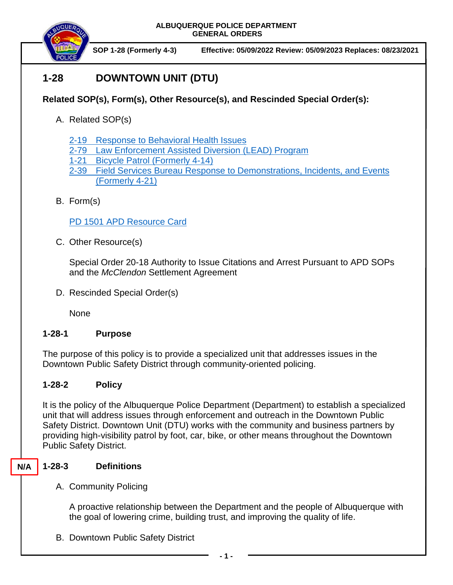**ALBUQUERQUE POLICE DEPARTMENT GENERAL ORDERS**



**SOP 1-28 (Formerly 4-3) Effective: 05/09/2022 Review: 05/09/2023 Replaces: 08/23/2021**

# **1-28 DOWNTOWN UNIT (DTU)**

# **Related SOP(s), Form(s), Other Resource(s), and Rescinded Special Order(s):**

- A. Related SOP(s)
	- 2-19 [Response to Behavioral Health Issues](https://powerdms.com/docs/1192186?q=2-19)
	- 2-79 [Law Enforcement Assisted Diversion \(LEAD\) Program](https://powerdms.com/docs/1820177?q=2-79)
	- 1-21 Bicycle Patrol [\(Formerly 4-14\)](https://powerdms.com/docs/529?q=4-14)
	- 2-39 [Field Services Bureau Response to Demonstrations, Incidents, and Events](https://powerdms.com/docs/540?q=2-39)  [\(Formerly 4-21\)](https://powerdms.com/docs/540?q=2-39)
- B. Form(s)

PD 1501 [APD Resource Card](https://powerdms.com/docs/2220191?q=pd%201501)

C. Other Resource(s)

Special Order 20-18 Authority to Issue Citations and Arrest Pursuant to APD SOPs and the *McClendon* Settlement Agreement

D. Rescinded Special Order(s)

None

## **1-28-1 Purpose**

The purpose of this policy is to provide a specialized unit that addresses issues in the Downtown Public Safety District through community-oriented policing.

## **1-28-2 Policy**

It is the policy of the Albuquerque Police Department (Department) to establish a specialized unit that will address issues through enforcement and outreach in the Downtown Public Safety District. Downtown Unit (DTU) works with the community and business partners by providing high-visibility patrol by foot, car, bike, or other means throughout the Downtown Public Safety District.

### **N/A**

# **1-28-3 Definitions**

A. Community Policing

A proactive relationship between the Department and the people of Albuquerque with the goal of lowering crime, building trust, and improving the quality of life.

B. Downtown Public Safety District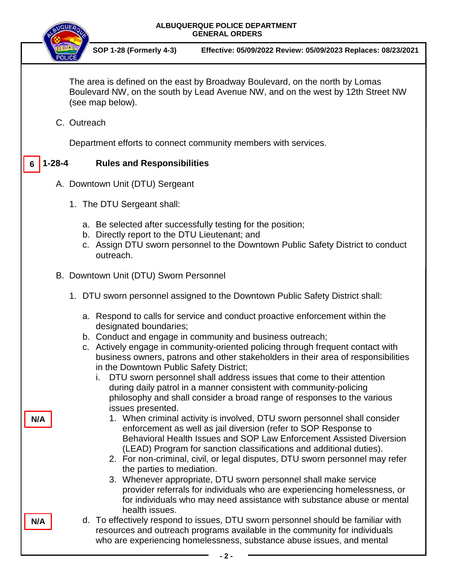# **ALBUQUERQUE POLICE DEPARTMENT GENERAL ORDERS**



**SOP 1-28 (Formerly 4-3) Effective: 05/09/2022 Review: 05/09/2023 Replaces: 08/23/2021**

The area is defined on the east by Broadway Boulevard, on the north by Lomas Boulevard NW, on the south by Lead Avenue NW, and on the west by 12th Street NW (see map below).

C. Outreach

**N/A**

**N/A**

Department efforts to connect community members with services.

#### **1-28-4 Rules and Responsibilities 6**

- A. Downtown Unit (DTU) Sergeant
	- 1. The DTU Sergeant shall:
		- a. Be selected after successfully testing for the position;
		- b. Directly report to the DTU Lieutenant; and
		- c. Assign DTU sworn personnel to the Downtown Public Safety District to conduct outreach.
- B. Downtown Unit (DTU) Sworn Personnel
	- 1. DTU sworn personnel assigned to the Downtown Public Safety District shall:
		- a. Respond to calls for service and conduct proactive enforcement within the designated boundaries;
		- b. Conduct and engage in community and business outreach;
		- c. Actively engage in community-oriented policing through frequent contact with business owners, patrons and other stakeholders in their area of responsibilities in the Downtown Public Safety District;
			- i. DTU sworn personnel shall address issues that come to their attention during daily patrol in a manner consistent with community-policing philosophy and shall consider a broad range of responses to the various issues presented.
				- 1. When criminal activity is involved, DTU sworn personnel shall consider enforcement as well as jail diversion (refer to SOP Response to Behavioral Health Issues and SOP Law Enforcement Assisted Diversion (LEAD) Program for sanction classifications and additional duties).
				- 2. For non-criminal, civil, or legal disputes, DTU sworn personnel may refer the parties to mediation.
				- 3. Whenever appropriate, DTU sworn personnel shall make service provider referrals for individuals who are experiencing homelessness, or for individuals who may need assistance with substance abuse or mental health issues.
		- d. To effectively respond to issues, DTU sworn personnel should be familiar with resources and outreach programs available in the community for individuals who are experiencing homelessness, substance abuse issues, and mental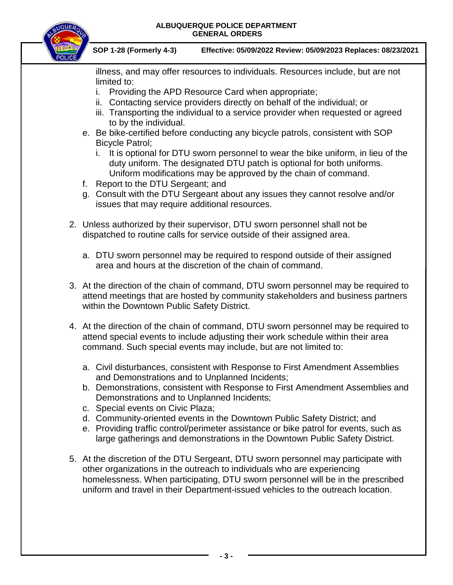#### **ALBUQUERQUE POLICE DEPARTMENT GENERAL ORDERS**



**SOP 1-28 (Formerly 4-3) Effective: 05/09/2022 Review: 05/09/2023 Replaces: 08/23/2021**

illness, and may offer resources to individuals. Resources include, but are not limited to:

- i. Providing the APD Resource Card when appropriate;
- ii. Contacting service providers directly on behalf of the individual; or
- iii. Transporting the individual to a service provider when requested or agreed to by the individual.
- e. Be bike-certified before conducting any bicycle patrols, consistent with SOP Bicycle Patrol;
	- i. It is optional for DTU sworn personnel to wear the bike uniform, in lieu of the duty uniform. The designated DTU patch is optional for both uniforms. Uniform modifications may be approved by the chain of command.
- f. Report to the DTU Sergeant; and
- g. Consult with the DTU Sergeant about any issues they cannot resolve and/or issues that may require additional resources.
- 2. Unless authorized by their supervisor, DTU sworn personnel shall not be dispatched to routine calls for service outside of their assigned area.
	- a. DTU sworn personnel may be required to respond outside of their assigned area and hours at the discretion of the chain of command.
- 3. At the direction of the chain of command, DTU sworn personnel may be required to attend meetings that are hosted by community stakeholders and business partners within the Downtown Public Safety District.
- 4. At the direction of the chain of command, DTU sworn personnel may be required to attend special events to include adjusting their work schedule within their area command. Such special events may include, but are not limited to:
	- a. Civil disturbances, consistent with Response to First Amendment Assemblies and Demonstrations and to Unplanned Incidents;
	- b. Demonstrations, consistent with Response to First Amendment Assemblies and Demonstrations and to Unplanned Incidents;
	- c. Special events on Civic Plaza;
	- d. Community-oriented events in the Downtown Public Safety District; and
	- e. Providing traffic control/perimeter assistance or bike patrol for events, such as large gatherings and demonstrations in the Downtown Public Safety District.
- 5. At the discretion of the DTU Sergeant, DTU sworn personnel may participate with other organizations in the outreach to individuals who are experiencing homelessness. When participating, DTU sworn personnel will be in the prescribed uniform and travel in their Department-issued vehicles to the outreach location.